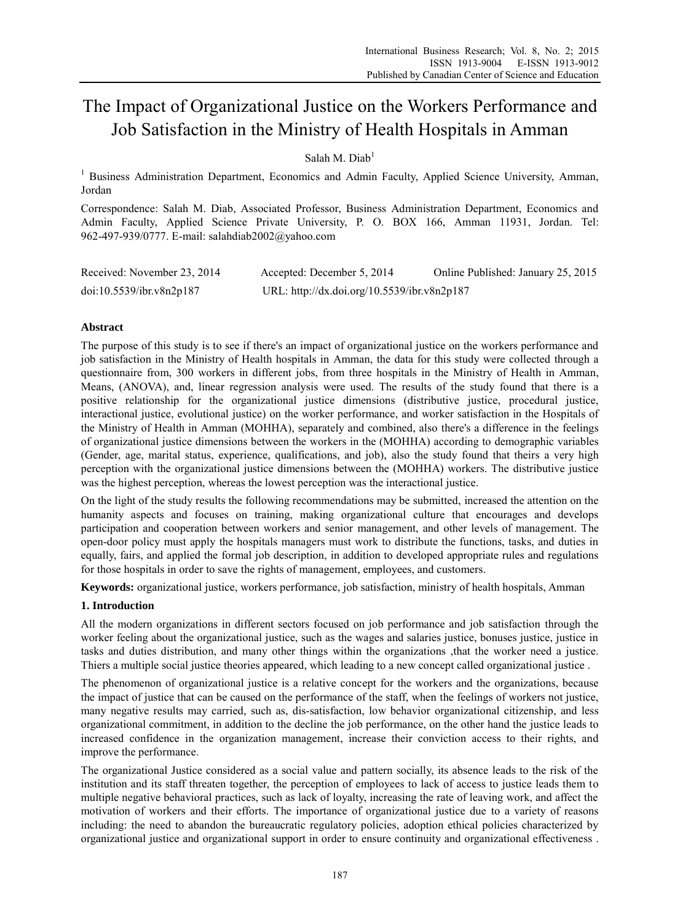# The Impact of Organizational Justice on the Workers Performance and Job Satisfaction in the Ministry of Health Hospitals in Amman

Salah M. Diab<sup>1</sup>

<sup>1</sup> Business Administration Department, Economics and Admin Faculty, Applied Science University, Amman, Jordan

Correspondence: Salah M. Diab, Associated Professor, Business Administration Department, Economics and Admin Faculty, Applied Science Private University, P. O. BOX 166, Amman 11931, Jordan. Tel: 962-497-939/0777. E-mail: salahdiab2002@yahoo.com

| Received: November 23, 2014 | Accepted: December 5, 2014                  | Online Published: January 25, 2015 |
|-----------------------------|---------------------------------------------|------------------------------------|
| doi:10.5539/ibr.v8n2p187    | URL: http://dx.doi.org/10.5539/ibr.v8n2p187 |                                    |

# **Abstract**

The purpose of this study is to see if there's an impact of organizational justice on the workers performance and job satisfaction in the Ministry of Health hospitals in Amman, the data for this study were collected through a questionnaire from, 300 workers in different jobs, from three hospitals in the Ministry of Health in Amman, Means, (ANOVA), and, linear regression analysis were used. The results of the study found that there is a positive relationship for the organizational justice dimensions (distributive justice, procedural justice, interactional justice, evolutional justice) on the worker performance, and worker satisfaction in the Hospitals of the Ministry of Health in Amman (MOHHA), separately and combined, also there's a difference in the feelings of organizational justice dimensions between the workers in the (MOHHA) according to demographic variables (Gender, age, marital status, experience, qualifications, and job), also the study found that theirs a very high perception with the organizational justice dimensions between the (MOHHA) workers. The distributive justice was the highest perception, whereas the lowest perception was the interactional justice.

On the light of the study results the following recommendations may be submitted, increased the attention on the humanity aspects and focuses on training, making organizational culture that encourages and develops participation and cooperation between workers and senior management, and other levels of management. The open-door policy must apply the hospitals managers must work to distribute the functions, tasks, and duties in equally, fairs, and applied the formal job description, in addition to developed appropriate rules and regulations for those hospitals in order to save the rights of management, employees, and customers.

**Keywords:** organizational justice, workers performance, job satisfaction, ministry of health hospitals, Amman

# **1. Introduction**

All the modern organizations in different sectors focused on job performance and job satisfaction through the worker feeling about the organizational justice, such as the wages and salaries justice, bonuses justice, justice in tasks and duties distribution, and many other things within the organizations ,that the worker need a justice. Thiers a multiple social justice theories appeared, which leading to a new concept called organizational justice .

The phenomenon of organizational justice is a relative concept for the workers and the organizations, because the impact of justice that can be caused on the performance of the staff, when the feelings of workers not justice, many negative results may carried, such as, dis-satisfaction, low behavior organizational citizenship, and less organizational commitment, in addition to the decline the job performance, on the other hand the justice leads to increased confidence in the organization management, increase their conviction access to their rights, and improve the performance.

The organizational Justice considered as a social value and pattern socially, its absence leads to the risk of the institution and its staff threaten together, the perception of employees to lack of access to justice leads them to multiple negative behavioral practices, such as lack of loyalty, increasing the rate of leaving work, and affect the motivation of workers and their efforts. The importance of organizational justice due to a variety of reasons including: the need to abandon the bureaucratic regulatory policies, adoption ethical policies characterized by organizational justice and organizational support in order to ensure continuity and organizational effectiveness .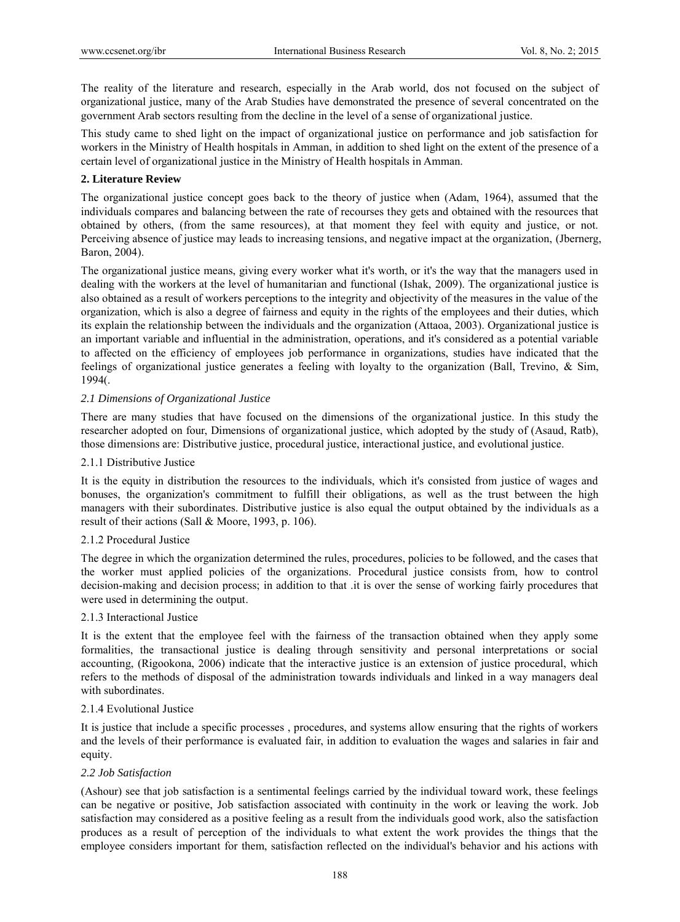The reality of the literature and research, especially in the Arab world, dos not focused on the subject of organizational justice, many of the Arab Studies have demonstrated the presence of several concentrated on the government Arab sectors resulting from the decline in the level of a sense of organizational justice.

This study came to shed light on the impact of organizational justice on performance and job satisfaction for workers in the Ministry of Health hospitals in Amman, in addition to shed light on the extent of the presence of a certain level of organizational justice in the Ministry of Health hospitals in Amman.

# **2. Literature Review**

The organizational justice concept goes back to the theory of justice when (Adam, 1964), assumed that the individuals compares and balancing between the rate of recourses they gets and obtained with the resources that obtained by others, (from the same resources), at that moment they feel with equity and justice, or not. Perceiving absence of justice may leads to increasing tensions, and negative impact at the organization, (Jbernerg, Baron, 2004).

The organizational justice means, giving every worker what it's worth, or it's the way that the managers used in dealing with the workers at the level of humanitarian and functional (Ishak, 2009). The organizational justice is also obtained as a result of workers perceptions to the integrity and objectivity of the measures in the value of the organization, which is also a degree of fairness and equity in the rights of the employees and their duties, which its explain the relationship between the individuals and the organization (Attaoa, 2003). Organizational justice is an important variable and influential in the administration, operations, and it's considered as a potential variable to affected on the efficiency of employees job performance in organizations, studies have indicated that the feelings of organizational justice generates a feeling with loyalty to the organization (Ball, Trevino, & Sim, 1994(.

# *2.1 Dimensions of Organizational Justice*

There are many studies that have focused on the dimensions of the organizational justice. In this study the researcher adopted on four, Dimensions of organizational justice, which adopted by the study of (Asaud, Ratb), those dimensions are: Distributive justice, procedural justice, interactional justice, and evolutional justice.

## 2.1.1 Distributive Justice

It is the equity in distribution the resources to the individuals, which it's consisted from justice of wages and bonuses, the organization's commitment to fulfill their obligations, as well as the trust between the high managers with their subordinates. Distributive justice is also equal the output obtained by the individuals as a result of their actions (Sall & Moore, 1993, p. 106).

#### 2.1.2 Procedural Justice

The degree in which the organization determined the rules, procedures, policies to be followed, and the cases that the worker must applied policies of the organizations. Procedural justice consists from, how to control decision-making and decision process; in addition to that .it is over the sense of working fairly procedures that were used in determining the output.

#### 2.1.3 Interactional Justice

It is the extent that the employee feel with the fairness of the transaction obtained when they apply some formalities, the transactional justice is dealing through sensitivity and personal interpretations or social accounting, (Rigookona, 2006) indicate that the interactive justice is an extension of justice procedural, which refers to the methods of disposal of the administration towards individuals and linked in a way managers deal with subordinates.

#### 2.1.4 Evolutional Justice

It is justice that include a specific processes , procedures, and systems allow ensuring that the rights of workers and the levels of their performance is evaluated fair, in addition to evaluation the wages and salaries in fair and equity.

#### *2.2 Job Satisfaction*

(Ashour) see that job satisfaction is a sentimental feelings carried by the individual toward work, these feelings can be negative or positive, Job satisfaction associated with continuity in the work or leaving the work. Job satisfaction may considered as a positive feeling as a result from the individuals good work, also the satisfaction produces as a result of perception of the individuals to what extent the work provides the things that the employee considers important for them, satisfaction reflected on the individual's behavior and his actions with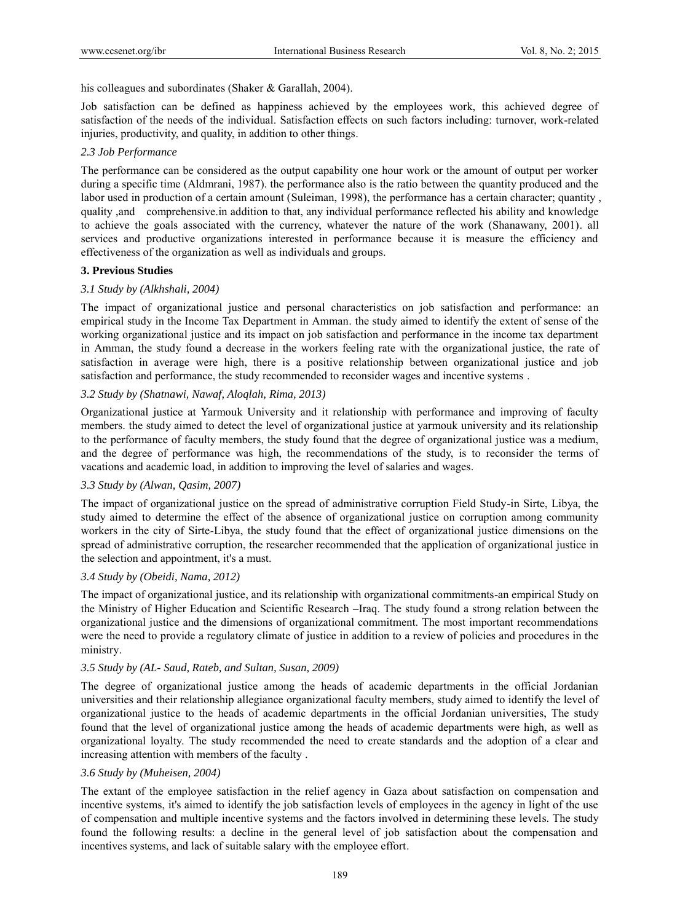his colleagues and subordinates (Shaker & Garallah, 2004).

Job satisfaction can be defined as happiness achieved by the employees work, this achieved degree of satisfaction of the needs of the individual. Satisfaction effects on such factors including: turnover, work-related injuries, productivity, and quality, in addition to other things.

## *2.3 Job Performance*

The performance can be considered as the output capability one hour work or the amount of output per worker during a specific time (Aldmrani, 1987). the performance also is the ratio between the quantity produced and the labor used in production of a certain amount (Suleiman, 1998), the performance has a certain character; quantity, quality ,and comprehensive.in addition to that, any individual performance reflected his ability and knowledge to achieve the goals associated with the currency, whatever the nature of the work (Shanawany, 2001). all services and productive organizations interested in performance because it is measure the efficiency and effectiveness of the organization as well as individuals and groups.

# **3. Previous Studies**

# *3.1 Study by (Alkhshali, 2004)*

The impact of organizational justice and personal characteristics on job satisfaction and performance: an empirical study in the Income Tax Department in Amman. the study aimed to identify the extent of sense of the working organizational justice and its impact on job satisfaction and performance in the income tax department in Amman, the study found a decrease in the workers feeling rate with the organizational justice, the rate of satisfaction in average were high, there is a positive relationship between organizational justice and job satisfaction and performance, the study recommended to reconsider wages and incentive systems .

# *3.2 Study by (Shatnawi, Nawaf, Aloqlah, Rima, 2013)*

Organizational justice at Yarmouk University and it relationship with performance and improving of faculty members. the study aimed to detect the level of organizational justice at yarmouk university and its relationship to the performance of faculty members, the study found that the degree of organizational justice was a medium, and the degree of performance was high, the recommendations of the study, is to reconsider the terms of vacations and academic load, in addition to improving the level of salaries and wages.

#### *3.3 Study by (Alwan, Qasim, 2007)*

The impact of organizational justice on the spread of administrative corruption Field Study-in Sirte, Libya, the study aimed to determine the effect of the absence of organizational justice on corruption among community workers in the city of Sirte-Libya, the study found that the effect of organizational justice dimensions on the spread of administrative corruption, the researcher recommended that the application of organizational justice in the selection and appointment, it's a must.

# *3.4 Study by (Obeidi, Nama, 2012)*

The impact of organizational justice, and its relationship with organizational commitments-an empirical Study on the Ministry of Higher Education and Scientific Research –Iraq. The study found a strong relation between the organizational justice and the dimensions of organizational commitment. The most important recommendations were the need to provide a regulatory climate of justice in addition to a review of policies and procedures in the ministry.

#### *3.5 Study by (AL- Saud, Rateb, and Sultan, Susan, 2009)*

The degree of organizational justice among the heads of academic departments in the official Jordanian universities and their relationship allegiance organizational faculty members, study aimed to identify the level of organizational justice to the heads of academic departments in the official Jordanian universities, The study found that the level of organizational justice among the heads of academic departments were high, as well as organizational loyalty. The study recommended the need to create standards and the adoption of a clear and increasing attention with members of the faculty .

#### *3.6 Study by (Muheisen, 2004)*

The extant of the employee satisfaction in the relief agency in Gaza about satisfaction on compensation and incentive systems, it's aimed to identify the job satisfaction levels of employees in the agency in light of the use of compensation and multiple incentive systems and the factors involved in determining these levels. The study found the following results: a decline in the general level of job satisfaction about the compensation and incentives systems, and lack of suitable salary with the employee effort.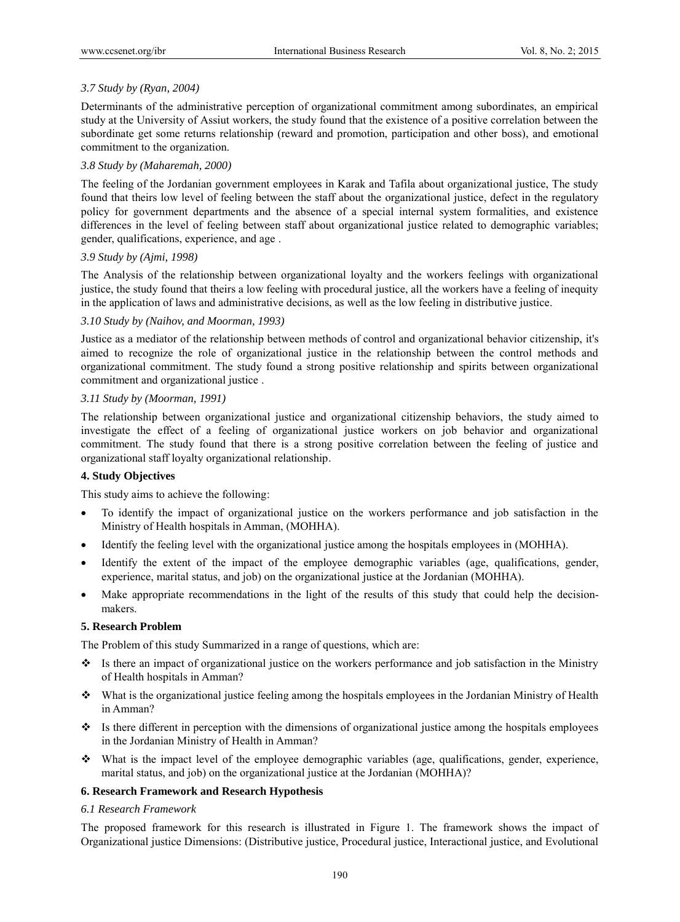# *3.7 Study by (Ryan, 2004)*

Determinants of the administrative perception of organizational commitment among subordinates, an empirical study at the University of Assiut workers, the study found that the existence of a positive correlation between the subordinate get some returns relationship (reward and promotion, participation and other boss), and emotional commitment to the organization.

# *3.8 Study by (Maharemah, 2000)*

The feeling of the Jordanian government employees in Karak and Tafila about organizational justice, The study found that theirs low level of feeling between the staff about the organizational justice, defect in the regulatory policy for government departments and the absence of a special internal system formalities, and existence differences in the level of feeling between staff about organizational justice related to demographic variables; gender, qualifications, experience, and age .

# *3.9 Study by (Ajmi, 1998)*

The Analysis of the relationship between organizational loyalty and the workers feelings with organizational justice, the study found that theirs a low feeling with procedural justice, all the workers have a feeling of inequity in the application of laws and administrative decisions, as well as the low feeling in distributive justice.

# *3.10 Study by (Naihov, and Moorman, 1993)*

Justice as a mediator of the relationship between methods of control and organizational behavior citizenship, it's aimed to recognize the role of organizational justice in the relationship between the control methods and organizational commitment. The study found a strong positive relationship and spirits between organizational commitment and organizational justice .

# *3.11 Study by (Moorman, 1991)*

The relationship between organizational justice and organizational citizenship behaviors, the study aimed to investigate the effect of a feeling of organizational justice workers on job behavior and organizational commitment. The study found that there is a strong positive correlation between the feeling of justice and organizational staff loyalty organizational relationship.

# **4. Study Objectives**

This study aims to achieve the following:

- To identify the impact of organizational justice on the workers performance and job satisfaction in the Ministry of Health hospitals in Amman, (MOHHA).
- Identify the feeling level with the organizational justice among the hospitals employees in (MOHHA).
- Identify the extent of the impact of the employee demographic variables (age, qualifications, gender, experience, marital status, and job) on the organizational justice at the Jordanian (MOHHA).
- Make appropriate recommendations in the light of the results of this study that could help the decisionmakers.

#### **5. Research Problem**

The Problem of this study Summarized in a range of questions, which are:

- Is there an impact of organizational justice on the workers performance and job satisfaction in the Ministry of Health hospitals in Amman?
- What is the organizational justice feeling among the hospitals employees in the Jordanian Ministry of Health in Amman?
- $\bullet$  Is there different in perception with the dimensions of organizational justice among the hospitals employees in the Jordanian Ministry of Health in Amman?
- $\bullet$  What is the impact level of the employee demographic variables (age, qualifications, gender, experience, marital status, and job) on the organizational justice at the Jordanian (MOHHA)?

# **6. Research Framework and Research Hypothesis**

#### *6.1 Research Framework*

The proposed framework for this research is illustrated in Figure 1. The framework shows the impact of Organizational justice Dimensions: (Distributive justice, Procedural justice, Interactional justice, and Evolutional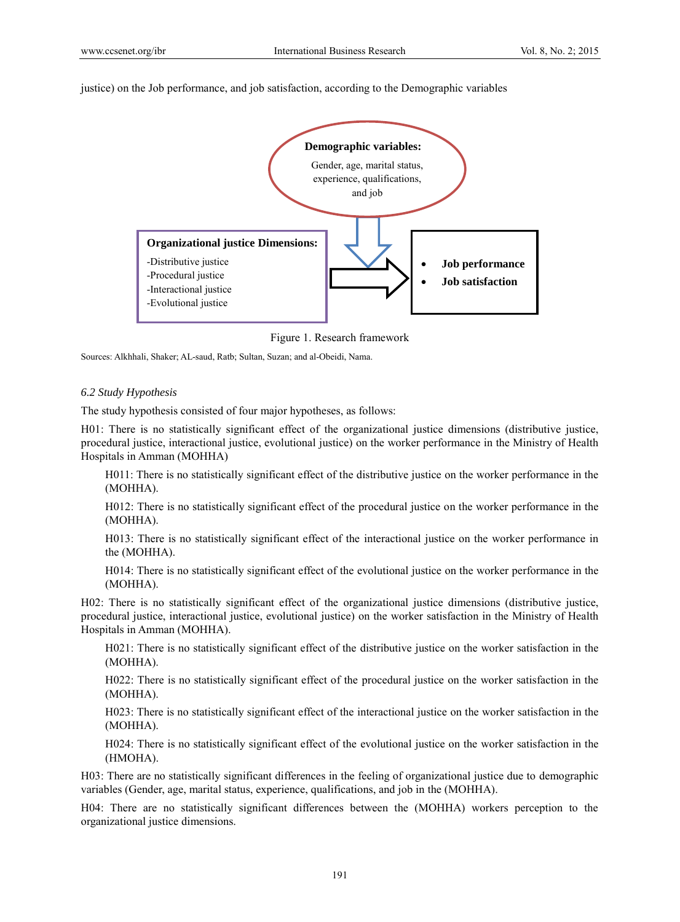justice) on the Job performance, and job satisfaction, according to the Demographic variables



Figure 1. Research framework

Sources: Alkhhali, Shaker; AL-saud, Ratb; Sultan, Suzan; and al-Obeidi, Nama.

#### *6.2 Study Hypothesis*

The study hypothesis consisted of four major hypotheses, as follows:

H01: There is no statistically significant effect of the organizational justice dimensions (distributive justice, procedural justice, interactional justice, evolutional justice) on the worker performance in the Ministry of Health Hospitals in Amman (MOHHA)

H011: There is no statistically significant effect of the distributive justice on the worker performance in the (MOHHA).

H012: There is no statistically significant effect of the procedural justice on the worker performance in the (MOHHA).

H013: There is no statistically significant effect of the interactional justice on the worker performance in the (MOHHA).

H014: There is no statistically significant effect of the evolutional justice on the worker performance in the (MOHHA).

H02: There is no statistically significant effect of the organizational justice dimensions (distributive justice, procedural justice, interactional justice, evolutional justice) on the worker satisfaction in the Ministry of Health Hospitals in Amman (MOHHA).

H021: There is no statistically significant effect of the distributive justice on the worker satisfaction in the (MOHHA).

H022: There is no statistically significant effect of the procedural justice on the worker satisfaction in the (MOHHA).

H023: There is no statistically significant effect of the interactional justice on the worker satisfaction in the (MOHHA).

H024: There is no statistically significant effect of the evolutional justice on the worker satisfaction in the (HMOHA).

H03: There are no statistically significant differences in the feeling of organizational justice due to demographic variables (Gender, age, marital status, experience, qualifications, and job in the (MOHHA).

H04: There are no statistically significant differences between the (MOHHA) workers perception to the organizational justice dimensions.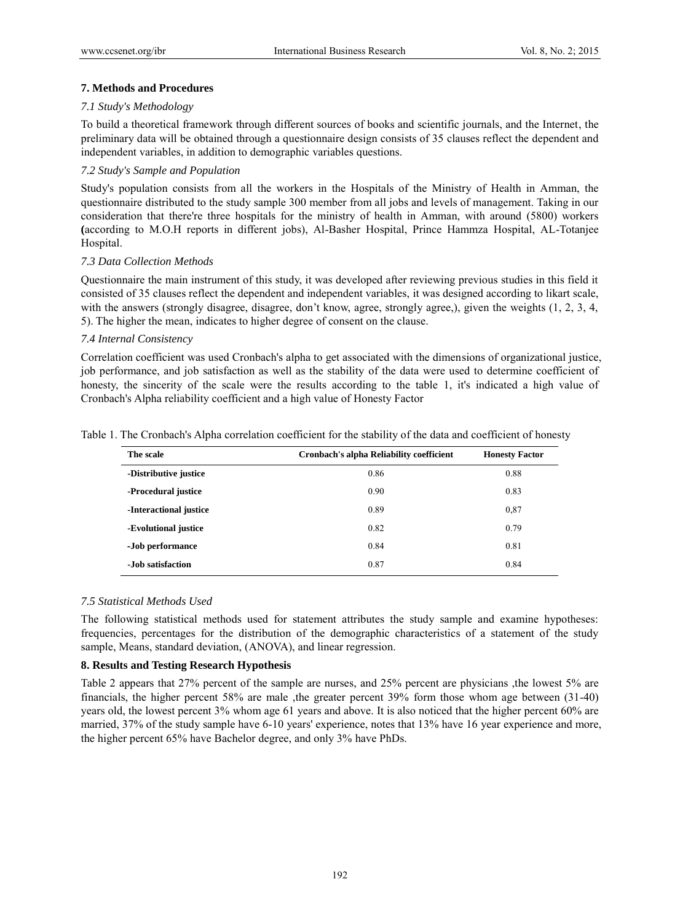# **7. Methods and Procedures**

## *7.1 Study's Methodology*

To build a theoretical framework through different sources of books and scientific journals, and the Internet, the preliminary data will be obtained through a questionnaire design consists of 35 clauses reflect the dependent and independent variables, in addition to demographic variables questions.

# *7.2 Study's Sample and Population*

Study's population consists from all the workers in the Hospitals of the Ministry of Health in Amman, the questionnaire distributed to the study sample 300 member from all jobs and levels of management. Taking in our consideration that there're three hospitals for the ministry of health in Amman, with around (5800) workers **(**according to M.O.H reports in different jobs), Al-Basher Hospital, Prince Hammza Hospital, AL-Totanjee Hospital.

# *7.3 Data Collection Methods*

Questionnaire the main instrument of this study, it was developed after reviewing previous studies in this field it consisted of 35 clauses reflect the dependent and independent variables, it was designed according to likart scale, with the answers (strongly disagree, disagree, don't know, agree, strongly agree,), given the weights (1, 2, 3, 4, 5). The higher the mean, indicates to higher degree of consent on the clause.

# *7.4 Internal Consistency*

Correlation coefficient was used Cronbach's alpha to get associated with the dimensions of organizational justice, job performance, and job satisfaction as well as the stability of the data were used to determine coefficient of honesty, the sincerity of the scale were the results according to the table 1, it's indicated a high value of Cronbach's Alpha reliability coefficient and a high value of Honesty Factor

| Table 1. The Cronbach's Alpha correlation coefficient for the stability of the data and coefficient of honesty |  |  |  |  |  |
|----------------------------------------------------------------------------------------------------------------|--|--|--|--|--|
|----------------------------------------------------------------------------------------------------------------|--|--|--|--|--|

| The scale              | <b>Cronbach's alpha Reliability coefficient</b> | <b>Honesty Factor</b> |
|------------------------|-------------------------------------------------|-----------------------|
| -Distributive justice  | 0.86                                            | 0.88                  |
| -Procedural justice    | 0.90                                            | 0.83                  |
| -Interactional justice | 0.89                                            | 0.87                  |
| -Evolutional justice   | 0.82                                            | 0.79                  |
| -Job performance       | 0.84                                            | 0.81                  |
| -Job satisfaction      | 0.87                                            | 0.84                  |

#### *7.5 Statistical Methods Used*

The following statistical methods used for statement attributes the study sample and examine hypotheses: frequencies, percentages for the distribution of the demographic characteristics of a statement of the study sample, Means, standard deviation, (ANOVA), and linear regression.

#### **8. Results and Testing Research Hypothesis**

Table 2 appears that 27% percent of the sample are nurses, and 25% percent are physicians ,the lowest 5% are financials, the higher percent 58% are male ,the greater percent 39% form those whom age between (31-40) years old, the lowest percent 3% whom age 61 years and above. It is also noticed that the higher percent 60% are married, 37% of the study sample have 6-10 years' experience, notes that 13% have 16 year experience and more, the higher percent 65% have Bachelor degree, and only 3% have PhDs.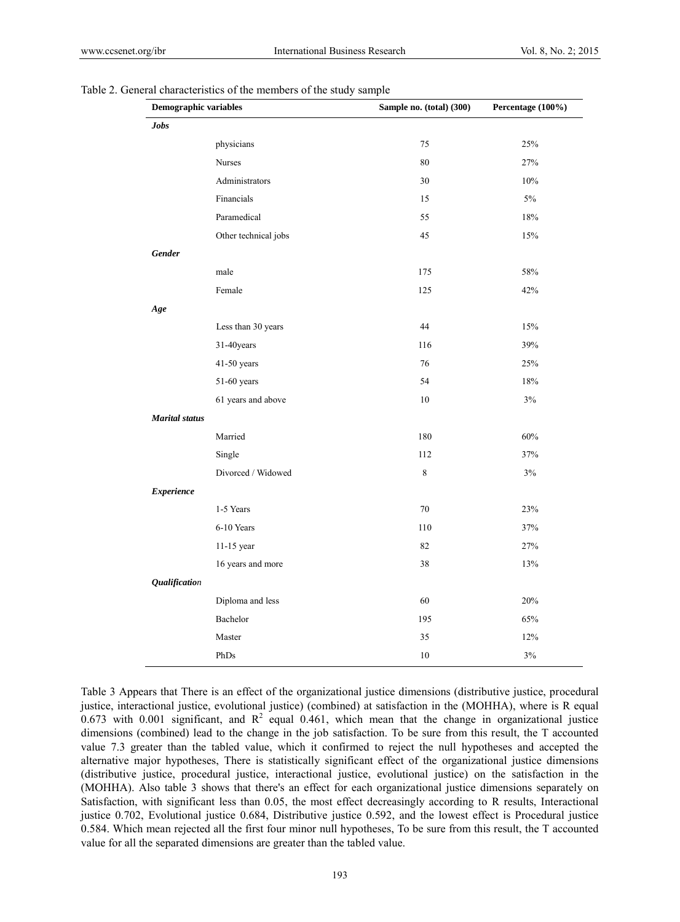| Demographic variables |                      | Sample no. (total) (300) | Percentage (100%) |  |
|-----------------------|----------------------|--------------------------|-------------------|--|
| <b>Jobs</b>           |                      |                          |                   |  |
|                       | physicians           | 75                       | 25%               |  |
|                       | Nurses               | 80                       | 27%               |  |
|                       | Administrators       | 30                       | 10%               |  |
|                       | Financials           | 15                       | $5\%$             |  |
|                       | Paramedical          | 55                       | 18%               |  |
|                       | Other technical jobs | 45                       | 15%               |  |
| <b>Gender</b>         |                      |                          |                   |  |
|                       | male                 | 175                      | $58\%$            |  |
|                       | Female               | 125                      | 42%               |  |
| Age                   |                      |                          |                   |  |
|                       | Less than 30 years   | 44                       | 15%               |  |
|                       | 31-40years           | 116                      | 39%               |  |
|                       | 41-50 years          | 76                       | 25%               |  |
|                       | 51-60 years          | 54                       | 18%               |  |
|                       | 61 years and above   | 10                       | 3%                |  |
| <b>Marital</b> status |                      |                          |                   |  |
|                       | Married              | 180                      | 60%               |  |
|                       | Single               | 112                      | 37%               |  |
|                       | Divorced / Widowed   | $\,8\,$                  | $3\%$             |  |
| <b>Experience</b>     |                      |                          |                   |  |
|                       | 1-5 Years            | 70                       | 23%               |  |
|                       | 6-10 Years           | 110                      | 37%               |  |
|                       | 11-15 year           | 82                       | 27%               |  |
|                       | 16 years and more    | 38                       | 13%               |  |
| <b>Qualification</b>  |                      |                          |                   |  |
|                       | Diploma and less     | 60                       | 20%               |  |
|                       | Bachelor             | 195                      | 65%               |  |
|                       | Master               | 35                       | 12%               |  |
|                       | PhDs                 | 10                       | $3\%$             |  |

|  | Table 2. General characteristics of the members of the study sample |  |  |  |
|--|---------------------------------------------------------------------|--|--|--|
|  |                                                                     |  |  |  |

Table 3 Appears that There is an effect of the organizational justice dimensions (distributive justice, procedural justice, interactional justice, evolutional justice) (combined) at satisfaction in the (MOHHA), where is R equal 0.673 with 0.001 significant, and  $R^2$  equal 0.461, which mean that the change in organizational justice dimensions (combined) lead to the change in the job satisfaction. To be sure from this result, the T accounted value 7.3 greater than the tabled value, which it confirmed to reject the null hypotheses and accepted the alternative major hypotheses, There is statistically significant effect of the organizational justice dimensions (distributive justice, procedural justice, interactional justice, evolutional justice) on the satisfaction in the (MOHHA). Also table 3 shows that there's an effect for each organizational justice dimensions separately on Satisfaction, with significant less than 0.05, the most effect decreasingly according to R results, Interactional justice 0.702, Evolutional justice 0.684, Distributive justice 0.592, and the lowest effect is Procedural justice 0.584. Which mean rejected all the first four minor null hypotheses, To be sure from this result, the T accounted value for all the separated dimensions are greater than the tabled value.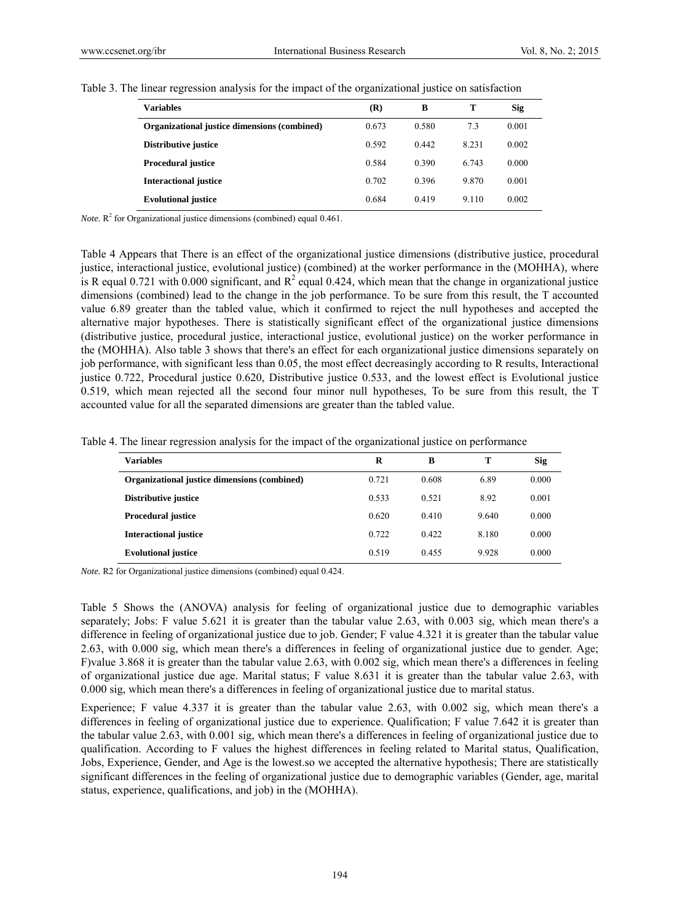| <b>Variables</b>                             | (R)   | B     | т     | Sig   |
|----------------------------------------------|-------|-------|-------|-------|
| Organizational justice dimensions (combined) | 0.673 | 0.580 | 7.3   | 0.001 |
| Distributive justice                         | 0.592 | 0.442 | 8.231 | 0.002 |
| <b>Procedural justice</b>                    | 0.584 | 0.390 | 6.743 | 0.000 |
| <b>Interactional justice</b>                 | 0.702 | 0.396 | 9.870 | 0.001 |
| <b>Evolutional justice</b>                   | 0.684 | 0.419 | 9.110 | 0.002 |

Table 3. The linear regression analysis for the impact of the organizational justice on satisfaction

*Note.*  $\mathbb{R}^2$  for Organizational justice dimensions (combined) equal 0.461.

Table 4 Appears that There is an effect of the organizational justice dimensions (distributive justice, procedural justice, interactional justice, evolutional justice) (combined) at the worker performance in the (MOHHA), where is R equal 0.721 with 0.000 significant, and  $R^2$  equal 0.424, which mean that the change in organizational justice dimensions (combined) lead to the change in the job performance. To be sure from this result, the T accounted value 6.89 greater than the tabled value, which it confirmed to reject the null hypotheses and accepted the alternative major hypotheses. There is statistically significant effect of the organizational justice dimensions (distributive justice, procedural justice, interactional justice, evolutional justice) on the worker performance in the (MOHHA). Also table 3 shows that there's an effect for each organizational justice dimensions separately on job performance, with significant less than 0.05, the most effect decreasingly according to R results, Interactional justice 0.722, Procedural justice 0.620, Distributive justice 0.533, and the lowest effect is Evolutional justice 0.519, which mean rejected all the second four minor null hypotheses, To be sure from this result, the T accounted value for all the separated dimensions are greater than the tabled value.

Table 4. The linear regression analysis for the impact of the organizational justice on performance

| <b>Variables</b>                             | R     | B     | т     | <b>Sig</b> |
|----------------------------------------------|-------|-------|-------|------------|
| Organizational justice dimensions (combined) | 0.721 | 0.608 | 6.89  | 0.000      |
| Distributive justice                         | 0.533 | 0.521 | 8.92  | 0.001      |
| <b>Procedural justice</b>                    | 0.620 | 0.410 | 9.640 | 0.000      |
| <b>Interactional justice</b>                 | 0.722 | 0.422 | 8.180 | 0.000      |
| <b>Evolutional justice</b>                   | 0.519 | 0.455 | 9.928 | 0.000      |

*Note.* R2 for Organizational justice dimensions (combined) equal 0.424.

Table 5 Shows the (ANOVA) analysis for feeling of organizational justice due to demographic variables separately; Jobs: F value 5.621 it is greater than the tabular value 2.63, with 0.003 sig, which mean there's a difference in feeling of organizational justice due to job. Gender; F value 4.321 it is greater than the tabular value 2.63, with 0.000 sig, which mean there's a differences in feeling of organizational justice due to gender. Age; F)value 3.868 it is greater than the tabular value 2.63, with 0.002 sig, which mean there's a differences in feeling of organizational justice due age. Marital status; F value 8.631 it is greater than the tabular value 2.63, with 0.000 sig, which mean there's a differences in feeling of organizational justice due to marital status.

Experience; F value 4.337 it is greater than the tabular value 2.63, with 0.002 sig, which mean there's a differences in feeling of organizational justice due to experience. Qualification; F value 7.642 it is greater than the tabular value 2.63, with 0.001 sig, which mean there's a differences in feeling of organizational justice due to qualification. According to F values the highest differences in feeling related to Marital status, Qualification, Jobs, Experience, Gender, and Age is the lowest.so we accepted the alternative hypothesis; There are statistically significant differences in the feeling of organizational justice due to demographic variables (Gender, age, marital status, experience, qualifications, and job) in the (MOHHA).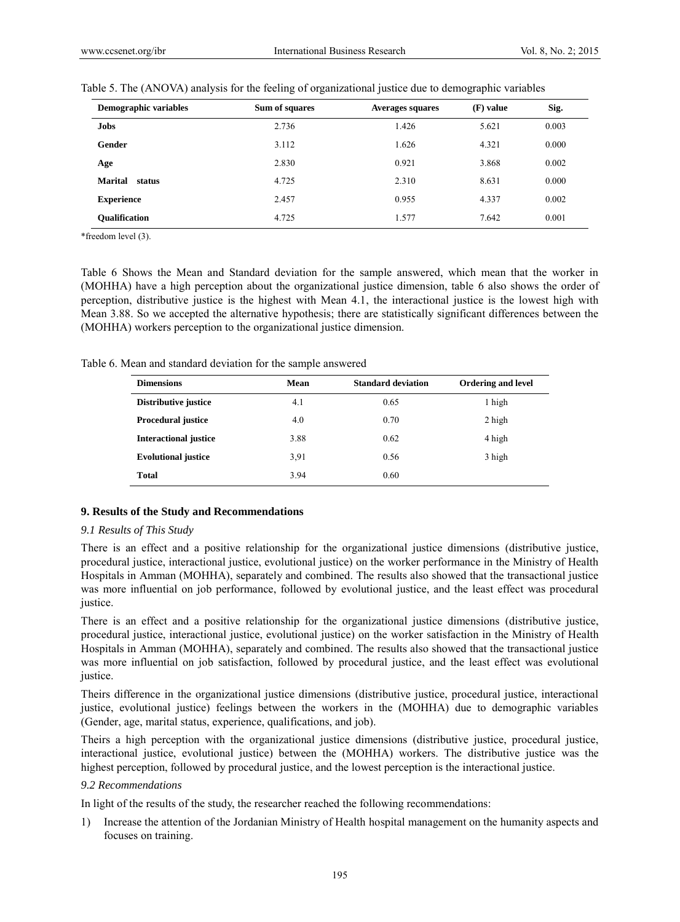| Demographic variables | Sum of squares | <b>Averages squares</b> | (F) value | Sig.  |
|-----------------------|----------------|-------------------------|-----------|-------|
| Jobs                  | 2.736          | 1.426                   | 5.621     | 0.003 |
| Gender                | 3.112          | 1.626                   | 4.321     | 0.000 |
| Age                   | 2.830          | 0.921                   | 3.868     | 0.002 |
| Marital<br>status     | 4.725          | 2.310                   | 8.631     | 0.000 |
| <b>Experience</b>     | 2.457          | 0.955                   | 4.337     | 0.002 |
| <b>Oualification</b>  | 4.725          | 1.577                   | 7.642     | 0.001 |

Table 5. The (ANOVA) analysis for the feeling of organizational justice due to demographic variables

\*freedom level (3).

Table 6 Shows the Mean and Standard deviation for the sample answered, which mean that the worker in (MOHHA) have a high perception about the organizational justice dimension, table 6 also shows the order of perception, distributive justice is the highest with Mean 4.1, the interactional justice is the lowest high with Mean 3.88. So we accepted the alternative hypothesis; there are statistically significant differences between the (MOHHA) workers perception to the organizational justice dimension.

| <b>Dimensions</b>            | Mean | <b>Standard deviation</b> | <b>Ordering and level</b> |
|------------------------------|------|---------------------------|---------------------------|
| Distributive justice         | 4.1  | 0.65                      | 1 high                    |
| <b>Procedural justice</b>    | 4.0  | 0.70                      | 2 high                    |
| <b>Interactional justice</b> | 3.88 | 0.62                      | 4 high                    |
| <b>Evolutional justice</b>   | 3.91 | 0.56                      | 3 high                    |
| Total                        | 3.94 | 0.60                      |                           |

Table 6. Mean and standard deviation for the sample answered

#### **9. Results of the Study and Recommendations**

#### *9.1 Results of This Study*

There is an effect and a positive relationship for the organizational justice dimensions (distributive justice, procedural justice, interactional justice, evolutional justice) on the worker performance in the Ministry of Health Hospitals in Amman (MOHHA), separately and combined. The results also showed that the transactional justice was more influential on job performance, followed by evolutional justice, and the least effect was procedural justice.

There is an effect and a positive relationship for the organizational justice dimensions (distributive justice, procedural justice, interactional justice, evolutional justice) on the worker satisfaction in the Ministry of Health Hospitals in Amman (MOHHA), separately and combined. The results also showed that the transactional justice was more influential on job satisfaction, followed by procedural justice, and the least effect was evolutional justice.

Theirs difference in the organizational justice dimensions (distributive justice, procedural justice, interactional justice, evolutional justice) feelings between the workers in the (MOHHA) due to demographic variables (Gender, age, marital status, experience, qualifications, and job).

Theirs a high perception with the organizational justice dimensions (distributive justice, procedural justice, interactional justice, evolutional justice) between the (MOHHA) workers. The distributive justice was the highest perception, followed by procedural justice, and the lowest perception is the interactional justice.

#### *9.2 Recommendations*

In light of the results of the study, the researcher reached the following recommendations:

1) Increase the attention of the Jordanian Ministry of Health hospital management on the humanity aspects and focuses on training.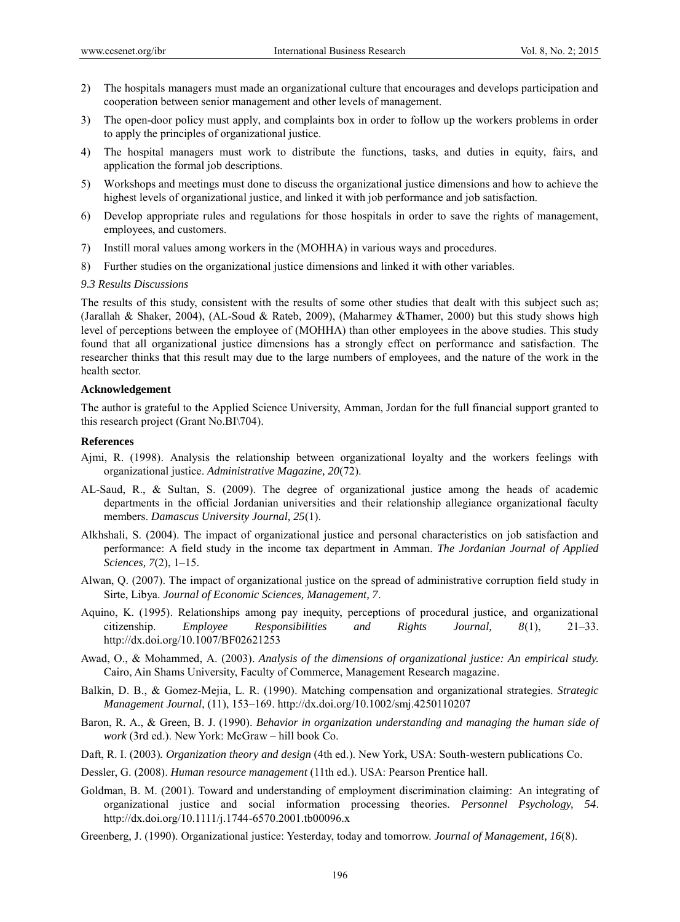- 2) The hospitals managers must made an organizational culture that encourages and develops participation and cooperation between senior management and other levels of management.
- 3) The open-door policy must apply, and complaints box in order to follow up the workers problems in order to apply the principles of organizational justice.
- 4) The hospital managers must work to distribute the functions, tasks, and duties in equity, fairs, and application the formal job descriptions.
- 5) Workshops and meetings must done to discuss the organizational justice dimensions and how to achieve the highest levels of organizational justice, and linked it with job performance and job satisfaction.
- 6) Develop appropriate rules and regulations for those hospitals in order to save the rights of management, employees, and customers.
- 7) Instill moral values among workers in the (MOHHA) in various ways and procedures.
- 8) Further studies on the organizational justice dimensions and linked it with other variables.

#### *9.3 Results Discussions*

The results of this study, consistent with the results of some other studies that dealt with this subject such as; (Jarallah & Shaker, 2004), (AL-Soud & Rateb, 2009), (Maharmey &Thamer, 2000) but this study shows high level of perceptions between the employee of (MOHHA) than other employees in the above studies. This study found that all organizational justice dimensions has a strongly effect on performance and satisfaction. The researcher thinks that this result may due to the large numbers of employees, and the nature of the work in the health sector.

#### **Acknowledgement**

The author is grateful to the Applied Science University, Amman, Jordan for the full financial support granted to this research project (Grant No.BI\704).

#### **References**

- Ajmi, R. (1998). Analysis the relationship between organizational loyalty and the workers feelings with organizational justice. *Administrative Magazine, 20*(72).
- AL-Saud, R., & Sultan, S. (2009). The degree of organizational justice among the heads of academic departments in the official Jordanian universities and their relationship allegiance organizational faculty members. *Damascus University Journal, 25*(1).
- Alkhshali, S. (2004). The impact of organizational justice and personal characteristics on job satisfaction and performance: A field study in the income tax department in Amman. *The Jordanian Journal of Applied Sciences, 7*(2), 1–15.
- Alwan, Q. (2007). The impact of organizational justice on the spread of administrative corruption field study in Sirte, Libya. *Journal of Economic Sciences, Management, 7*.
- Aquino, K. (1995). Relationships among pay inequity, perceptions of procedural justice, and organizational citizenship. *Employee Responsibilities and Rights Journal, 8*(1), 21–33. http://dx.doi.org/10.1007/BF02621253
- Awad, O., & Mohammed, A. (2003). *Analysis of the dimensions of organizational justice: An empirical study.* Cairo, Ain Shams University, Faculty of Commerce, Management Research magazine.
- Balkin, D. B., & Gomez-Mejia, L. R. (1990). Matching compensation and organizational strategies. *Strategic Management Journal*, (11), 153–169. http://dx.doi.org/10.1002/smj.4250110207
- Baron, R. A., & Green, B. J. (1990). *Behavior in organization understanding and managing the human side of work* (3rd ed.). New York: McGraw – hill book Co.
- Daft, R. I. (2003)*. Organization theory and design* (4th ed.). New York, USA: South-western publications Co.
- Dessler, G. (2008). *Human resource management* (11th ed.). USA: Pearson Prentice hall.
- Goldman, B. M. (2001). Toward and understanding of employment discrimination claiming: An integrating of organizational justice and social information processing theories. *Personnel Psychology, 54*. http://dx.doi.org/10.1111/j.1744-6570.2001.tb00096.x
- Greenberg, J. (1990). Organizational justice: Yesterday, today and tomorrow. *Journal of Management, 16*(8).